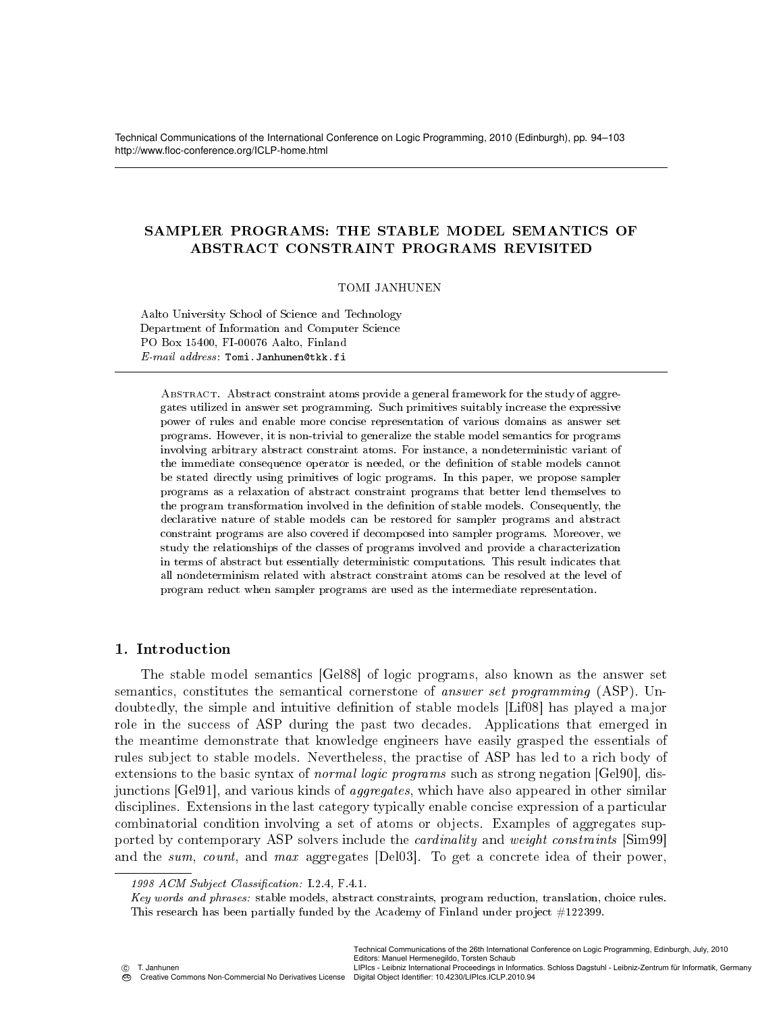Technical Communications of the International Conference on Logic Programming, 2010 (Edinburgh), pp. 94–103 http://www.floc-conference.org/ICLP-home.html

# SAMPLER PROGRAMS: THE STABLE MODEL SEMANTICS OF ABSTRACT CONSTRAINT PROGRAMS REVISITED

### TOMI JANHUNEN

Aalto University School of Science and Technology Department of Information and Computer Science PO Box 15400, FI-00076 Aalto, Finland E-mail address: Tomi.Janhunen@tkk.fi

ABSTRACT. Abstract constraint atoms provide a general framework for the study of aggregates utilized in answer set programming. Such primitives suitably increase the expressive power of rules and enable more concise representation of various domains as answer set programs. However, it is non-trivial to generalize the stable model semantics for programs involving arbitrary abstract constraint atoms. For instance, a nondeterministic variant of the immediate consequence operator is needed, or the denition of stable models cannot be stated directly using primitives of logic programs. In this paper, we propose sampler programs as a relaxation of abstract constraint programs that better lend themselves to the program transformation involved in the denition of stable models. Consequently, the declarative nature of stable models can be restored for sampler programs and abstract constraint programs are also covered if decomposed into sampler programs. Moreover, we study the relationships of the classes of programs involved and provide a characterization in terms of abstract but essentially deterministic computations. This result indicates that all nondeterminism related with abstract constraint atoms can be resolved at the level of program reduct when sampler programs are used as the intermediate representation.

# 1. Introduction

The stable model semantics [Gel88] of logic programs, also known as the answer set semantics, constitutes the semantical cornerstone of answer set programming (ASP). Undoubtedly, the simple and intuitive definition of stable models [Lif08] has played a major role in the success of ASP during the past two decades. Applications that emerged in the meantime demonstrate that knowledge engineers have easily grasped the essentials of rules subject to stable models. Nevertheless, the practise of ASP has led to a rich body of extensions to the basic syntax of *normal logic programs* such as strong negation [Gel90], disjunctions [Gel91], and various kinds of *aggregates*, which have also appeared in other similar disciplines. Extensions in the last category typically enable concise expression of a particular combinatorial condition involving a set of atoms or objects. Examples of aggregates supported by contemporary ASP solvers include the *cardinality* and *weight constraints* [Sim99] and the sum, count, and max aggregates [Del03]. To get a concrete idea of their power,

Key words and phrases: stable models, abstract constraints, program reduction, translation, choice rules. This research has been partially funded by the Academy of Finland under project #122399.

Editors: Manuel Hermenegildo, Torsten Schaub

T. Janhunen Creative Commons Non-Commercial No Derivatives License

LIPIcs - Leibniz International Proceedings in Informatics. Schloss Dagstuhl - Leibniz-Zentrum für Informatik, Germany Digital Object Identifier: 10.4230/LIPIcs.ICLP.2010.94

<sup>1998</sup> ACM Subject Classification: I.2.4, F.4.1.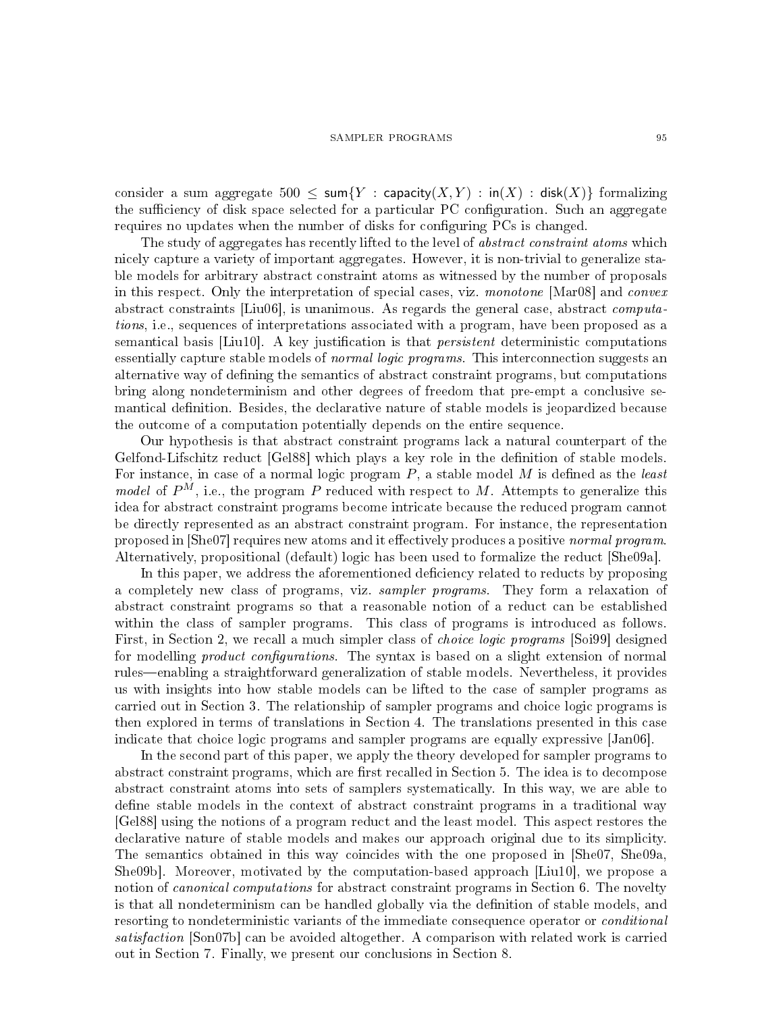consider a sum aggregate  $500 \le \text{sum}\{Y : \text{capacity}(X, Y) : \text{in}(X) : \text{disk}(X)\}\)$  formalizing the sufficiency of disk space selected for a particular PC configuration. Such an aggregate requires no updates when the number of disks for configuring PCs is changed.

The study of aggregates has recently lifted to the level of *abstract constraint atoms* which nicely capture a variety of important aggregates. However, it is non-trivial to generalize stable models for arbitrary abstract constraint atoms as witnessed by the number of proposals in this respect. Only the interpretation of special cases, viz. monotone [Mar08] and convex abstract constraints [Liu06], is unanimous. As regards the general case, abstract computations, i.e., sequences of interpretations associated with a program, have been proposed as a semantical basis  $[Liu10]$ . A key justification is that *persistent* deterministic computations essentially capture stable models of *normal logic programs*. This interconnection suggests an alternative way of defining the semantics of abstract constraint programs, but computations bring along nondeterminism and other degrees of freedom that pre-empt a conclusive semantical definition. Besides, the declarative nature of stable models is jeopardized because the outcome of a computation potentially depends on the entire sequence.

Our hypothesis is that abstract constraint programs lack a natural counterpart of the Gelfond-Lifschitz reduct [Gel88] which plays a key role in the definition of stable models. For instance, in case of a normal logic program  $P$ , a stable model  $M$  is defined as the least *model* of  $P^M$ , i.e., the program P reduced with respect to M. Attempts to generalize this idea for abstract constraint programs become intricate because the reduced program cannot be directly represented as an abstract constraint program. For instance, the representation proposed in [She07] requires new atoms and it effectively produces a positive normal program. Alternatively, propositional (default) logic has been used to formalize the reduct [She09a].

In this paper, we address the aforementioned deficiency related to reducts by proposing a completely new class of programs, viz. sampler programs. They form a relaxation of abstract constraint programs so that a reasonable notion of a reduct can be established within the class of sampler programs. This class of programs is introduced as follows. First, in Section 2, we recall a much simpler class of *choice logic programs* [Soi99] designed for modelling *product configurations*. The syntax is based on a slight extension of normal rules—enabling a straightforward generalization of stable models. Nevertheless, it provides us with insights into how stable models can be lifted to the case of sampler programs as carried out in Section 3. The relationship of sampler programs and choice logic programs is then explored in terms of translations in Section 4. The translations presented in this case indicate that choice logic programs and sampler programs are equally expressive [Jan06].

In the second part of this paper, we apply the theory developed for sampler programs to abstract constraint programs, which are first recalled in Section 5. The idea is to decompose abstract constraint atoms into sets of samplers systematically. In this way, we are able to define stable models in the context of abstract constraint programs in a traditional way [Gel88] using the notions of a program reduct and the least model. This aspect restores the declarative nature of stable models and makes our approach original due to its simplicity. The semantics obtained in this way coincides with the one proposed in [She07, She09a, She09b]. Moreover, motivated by the computation-based approach [Liu10], we propose a notion of *canonical computations* for abstract constraint programs in Section 6. The novelty is that all nondeterminism can be handled globally via the definition of stable models, and resorting to nondeterministic variants of the immediate consequence operator or *conditional* satisfaction [Son07b] can be avoided altogether. A comparison with related work is carried out in Section 7. Finally, we present our conclusions in Section 8.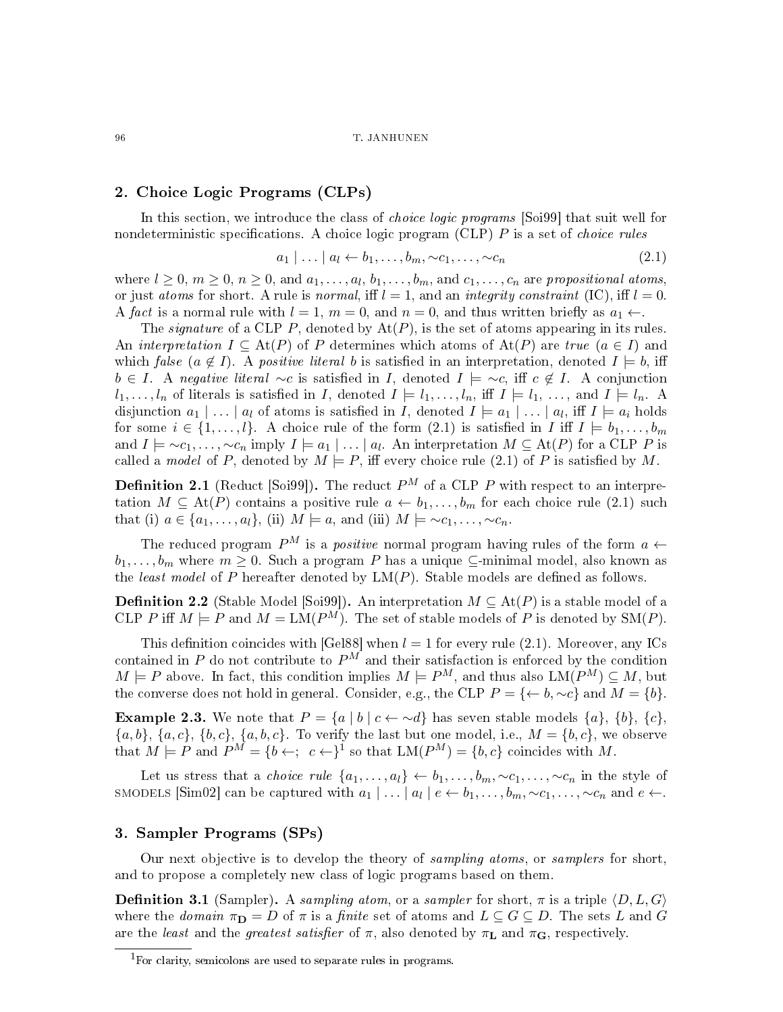# 2. Choice Logic Programs (CLPs)

In this section, we introduce the class of *choice logic programs* [Soi99] that suit well for nondeterministic specifications. A choice logic program (CLP)  $P$  is a set of *choice rules* 

$$
a_1 | \dots | a_l \leftarrow b_1, \dots, b_m, \sim c_1, \dots, \sim c_n \tag{2.1}
$$

where  $l \geq 0$ ,  $m \geq 0$ ,  $n \geq 0$ , and  $a_1, \ldots, a_l, b_1, \ldots, b_m$ , and  $c_1, \ldots, c_n$  are propositional atoms, or just atoms for short. A rule is normal, iff  $l = 1$ , and an integrity constraint (IC), iff  $l = 0$ . A fact is a normal rule with  $l = 1$ ,  $m = 0$ , and  $n = 0$ , and thus written briefly as  $a_1 \leftarrow$ .

The *signature* of a CLP P, denoted by  $At(P)$ , is the set of atoms appearing in its rules. An interpretation  $I \subseteq \text{At}(P)$  of P determines which atoms of  $\text{At}(P)$  are true  $(a \in I)$  and which false  $(a \notin I)$ . A positive literal b is satisfied in an interpretation, denoted  $I \models b$ , iff  $b \in I$ . A negative literal ∼c is satisfied in I, denoted  $I \models \sim c$ , iff  $c \notin I$ . A conjunction  $l_1, \ldots, l_n$  of literals is satisfied in I, denoted  $I \models l_1, \ldots, l_n$ , iff  $I \models l_1, \ldots,$  and  $I \models l_n$ . disjunction  $a_1 | \dots | a_l$  of atoms is satisfied in I, denoted  $I \models a_1 | \dots | a_l$ , iff  $I \models a_i$  holds for some  $i \in \{1, \ldots, l\}$ . A choice rule of the form  $(2.1)$  is satisfied in I iff  $I \models b_1, \ldots, b_m$ and  $I \models \sim c_1, \ldots, \sim c_n$  imply  $I \models a_1 \mid \ldots \mid a_l$ . An interpretation  $M \subseteq \text{At}(P)$  for a CLP P is called a model of P, denoted by  $M \models P$ , iff every choice rule (2.1) of P is satisfied by M.

**Definition 2.1** (Reduct [Soi99]). The reduct  $P^M$  of a CLP P with respect to an interpretation  $M \subseteq \text{At}(P)$  contains a positive rule  $a \leftarrow b_1, \ldots, b_m$  for each choice rule (2.1) such that (i)  $a \in \{a_1, \ldots, a_l\}$ , (ii)  $M \models a$ , and (iii)  $M \models \sim c_1, \ldots, \sim c_n$ .

The reduced program  $P^M$  is a *positive* normal program having rules of the form  $a \leftarrow$  $b_1, \ldots, b_m$  where  $m \geq 0$ . Such a program P has a unique  $\subseteq$ -minimal model, also known as the least model of  $P$  hereafter denoted by  $LM(P)$ . Stable models are defined as follows.

**Definition 2.2** (Stable Model [Soi99]). An interpretation  $M \subseteq \text{At}(P)$  is a stable model of a CLP P iff  $M \models P$  and  $M = LM(P^M)$ . The set of stable models of P is denoted by  $SM(P)$ .

This definition coincides with [Gel88] when  $l = 1$  for every rule (2.1). Moreover, any ICs contained in  $P$  do not contribute to  $P^M$  and their satisfaction is enforced by the condition  $M \models P$  above. In fact, this condition implies  $M \models P^M$ , and thus also  $LM(P^M) \subseteq M$ , but the converse does not hold in general. Consider, e.g., the CLP  $P = \{ \leftarrow b, \sim c \}$  and  $M = \{b\}$ .

**Example 2.3.** We note that  $P = \{a \mid b \mid c \leftarrow \neg d\}$  has seven stable models  $\{a\}, \{b\}, \{c\},\$  ${a, b}, {a, c}, {b, c}, {a, b, c}.$  To verify the last but one model, i.e.,  $M = {b, c}$ , we observe that  $M \models P$  and  $P^M = \{b \leftarrow; c \leftarrow\}^1$  so that  $LM(P^M) = \{b, c\}$  coincides with M.

Let us stress that a *choice rule*  $\{a_1, \ldots, a_l\} \leftarrow b_1, \ldots, b_m, \sim c_1, \ldots, \sim c_n$  in the style of smodels [Sim02] can be captured with  $a_1 | \dots | a_l | e \leftarrow b_1, \dots, b_m, \sim c_1, \dots, \sim c_n$  and  $e \leftarrow b$ .

### 3. Sampler Programs (SPs)

Our next objective is to develop the theory of sampling atoms, or samplers for short, and to propose a completely new class of logic programs based on them.

**Definition 3.1** (Sampler). A sampling atom, or a sampler for short,  $\pi$  is a triple  $\langle D, L, G \rangle$ where the domain  $\pi_{\mathbf{D}} = D$  of  $\pi$  is a finite set of atoms and  $L \subseteq G \subseteq D$ . The sets L and G are the least and the greatest satisfier of  $\pi$ , also denoted by  $\pi_{\mathbf{L}}$  and  $\pi_{\mathbf{G}}$ , respectively.

<sup>&</sup>lt;sup>1</sup>For clarity, semicolons are used to separate rules in programs.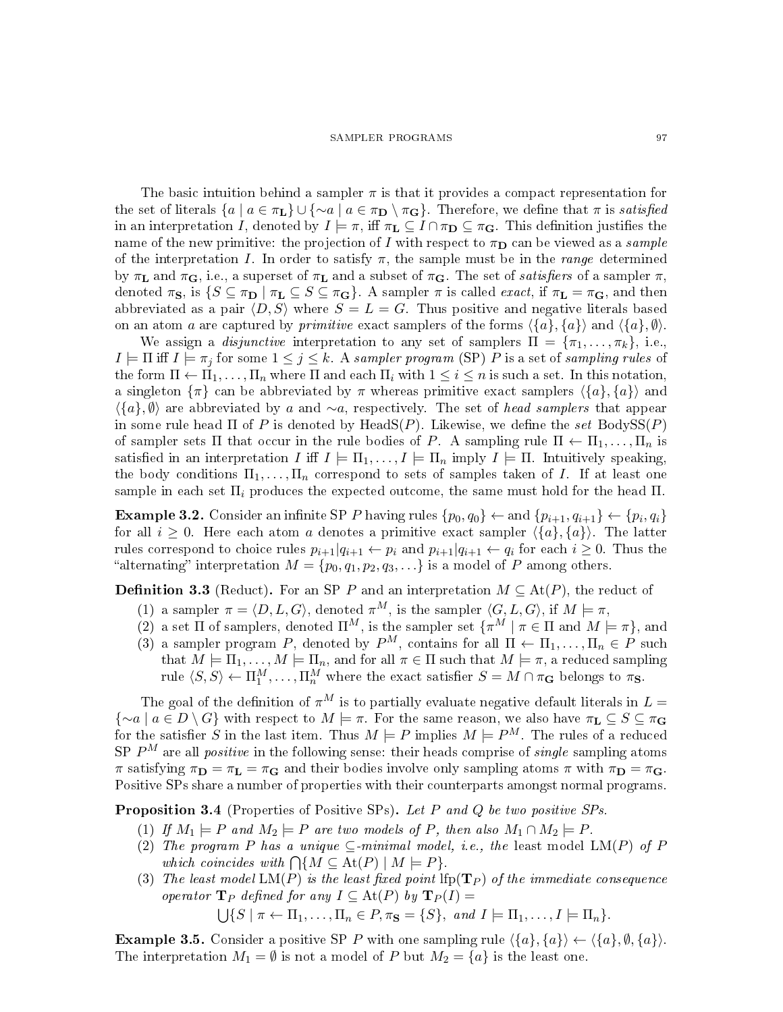#### SAMPLER PROGRAMS 97

The basic intuition behind a sampler  $\pi$  is that it provides a compact representation for the set of literals  $\{a \mid a \in \pi_L\} \cup \{\sim a \mid a \in \pi_D \setminus \pi_G\}$ . Therefore, we define that  $\pi$  is *satisfied* in an interpretation I, denoted by  $I \models \pi$ , iff  $\pi_{\mathbf{L}} \subseteq I \cap \pi_{\mathbf{D}} \subseteq \pi_{\mathbf{G}}$ . This definition justifies the name of the new primitive: the projection of I with respect to  $\pi_{\mathbf{D}}$  can be viewed as a *sample* of the interpretation I. In order to satisfy  $\pi$ , the sample must be in the range determined by  $\pi_{\mathbf{L}}$  and  $\pi_{\mathbf{G}}$ , i.e., a superset of  $\pi_{\mathbf{L}}$  and a subset of  $\pi_{\mathbf{G}}$ . The set of *satisfiers* of a sampler  $\pi$ , denoted  $\pi_S$ , is  $\{S \subseteq \pi_D \mid \pi_L \subseteq S \subseteq \pi_G\}$ . A sampler  $\pi$  is called *exact*, if  $\pi_L = \pi_G$ , and then abbreviated as a pair  $\langle D, S \rangle$  where  $S = L = G$ . Thus positive and negative literals based on an atom a are captured by *primitive* exact samplers of the forms  $\langle {a}, {a} \rangle$  and  $\langle {a}, \emptyset \rangle$ .

We assign a *disjunctive* interpretation to any set of samplers  $\Pi = {\pi_1, \ldots, \pi_k}$ , i.e.,  $I \models \Pi$  iff  $I \models \pi_j$  for some  $1 \leq j \leq k$ . A sampler program (SP) P is a set of sampling rules of the form  $\Pi \leftarrow \Pi_1, \ldots, \Pi_n$  where  $\Pi$  and each  $\Pi_i$  with  $1 \leq i \leq n$  is such a set. In this notation, a singleton  $\{\pi\}$  can be abbreviated by  $\pi$  whereas primitive exact samplers  $\{\{a\}, \{a\}\}\$  and  $\langle \{a\}, \emptyset \rangle$  are abbreviated by a and ∼a, respectively. The set of head samplers that appear in some rule head  $\Pi$  of  $P$  is denoted by HeadS( $P$ ). Likewise, we define the set BodySS( $P$ ) of sampler sets  $\Pi$  that occur in the rule bodies of P. A sampling rule  $\Pi \leftarrow \Pi_1, \ldots, \Pi_n$  is satisfied in an interpretation I iff  $I \models \Pi_1, \ldots, I \models \Pi_n$  imply  $I \models \Pi$ . Intuitively speaking, the body conditions  $\Pi_1, \ldots, \Pi_n$  correspond to sets of samples taken of I. If at least one sample in each set  $\Pi_i$  produces the expected outcome, the same must hold for the head  $\Pi$ .

**Example 3.2.** Consider an infinite SP P having rules  $\{p_0, q_0\} \leftarrow$  and  $\{p_{i+1}, q_{i+1}\} \leftarrow \{p_i, q_i\}$ for all  $i \geq 0$ . Here each atom a denotes a primitive exact sampler  $\langle \{a\}, \{a\}\rangle$ . The latter rules correspond to choice rules  $p_{i+1}|q_{i+1} \leftarrow p_i$  and  $p_{i+1}|q_{i+1} \leftarrow q_i$  for each  $i \geq 0$ . Thus the "alternating" interpretation  $M = \{p_0, q_1, p_2, q_3, \ldots\}$  is a model of P among others.

**Definition 3.3** (Reduct). For an SP P and an interpretation  $M \subseteq \text{At}(P)$ , the reduct of

- (1) a sampler  $\pi = \langle D, L, G \rangle$ , denoted  $\pi^M$ , is the sampler  $\langle G, L, G \rangle$ , if  $M \models \pi$ ,
- (2) a set  $\Pi$  of samplers, denoted  $\Pi^M$ , is the sampler set  $\{\pi^M \mid \pi \in \Pi \text{ and } M \models \pi\}$ , and
- (3) a sampler program P, denoted by  $P^M$ , contains for all  $\Pi \leftarrow \Pi_1, \ldots, \Pi_n \in P$  such that  $M \models \Pi_1, \ldots, M \models \Pi_n$ , and for all  $\pi \in \Pi$  such that  $M \models \pi$ , a reduced sampling rule  $\langle S, S \rangle \leftarrow \Pi_1^M, \ldots, \Pi_n^M$  where the exact satisfier  $S = M \cap \pi_G$  belongs to  $\pi_S$ .

The goal of the definition of  $\pi^M$  is to partially evaluate negative default literals in  $L =$  ${\sim}a \mid a \in D \setminus G$  with respect to  $M \models \pi$ . For the same reason, we also have  $\pi_L \subseteq S \subseteq \pi_G$ for the satisfier S in the last item. Thus  $M \models P$  implies  $M \models P^M$ . The rules of a reduced SP  $P^M$  are all *positive* in the following sense: their heads comprise of *single* sampling atoms π satisfying  $\pi_{\mathbf{D}} = \pi_{\mathbf{L}} = \pi_{\mathbf{G}}$  and their bodies involve only sampling atoms  $\pi$  with  $\pi_{\mathbf{D}} = \pi_{\mathbf{G}}$ . Positive SPs share a number of properties with their counterparts amongst normal programs.

**Proposition 3.4** (Properties of Positive SPs). Let P and Q be two positive SPs.

- (1) If  $M_1 \models P$  and  $M_2 \models P$  are two models of P, then also  $M_1 \cap M_2 \models P$ .
- (2) The program P has a unique  $\subseteq$ -minimal model, i.e., the least model LM(P) of P which coincides with  $\bigcap \{M \subseteq \text{At}(P) \mid M \models P\}.$
- (3) The least model  $LM(P)$  is the least fixed point lfp( $\mathbf{T}_P$ ) of the immediate consequence operator  $\mathbf{T}_P$  defined for any  $I \subseteq \text{At}(P)$  by  $\mathbf{T}_P(I) =$

 $\bigcup \{S \mid \pi \leftarrow \Pi_1, \ldots, \Pi_n \in P, \pi_{\mathbf{S}} = \{S\}, \text{ and } I \models \Pi_1, \ldots, I \models \Pi_n\}.$ 

**Example 3.5.** Consider a positive SP P with one sampling rule  $\{\{a\}, \{a\}\}\n\leftarrow \{\{a\}, \emptyset, \{a\}\n\}$ . The interpretation  $M_1 = \emptyset$  is not a model of P but  $M_2 = \{a\}$  is the least one.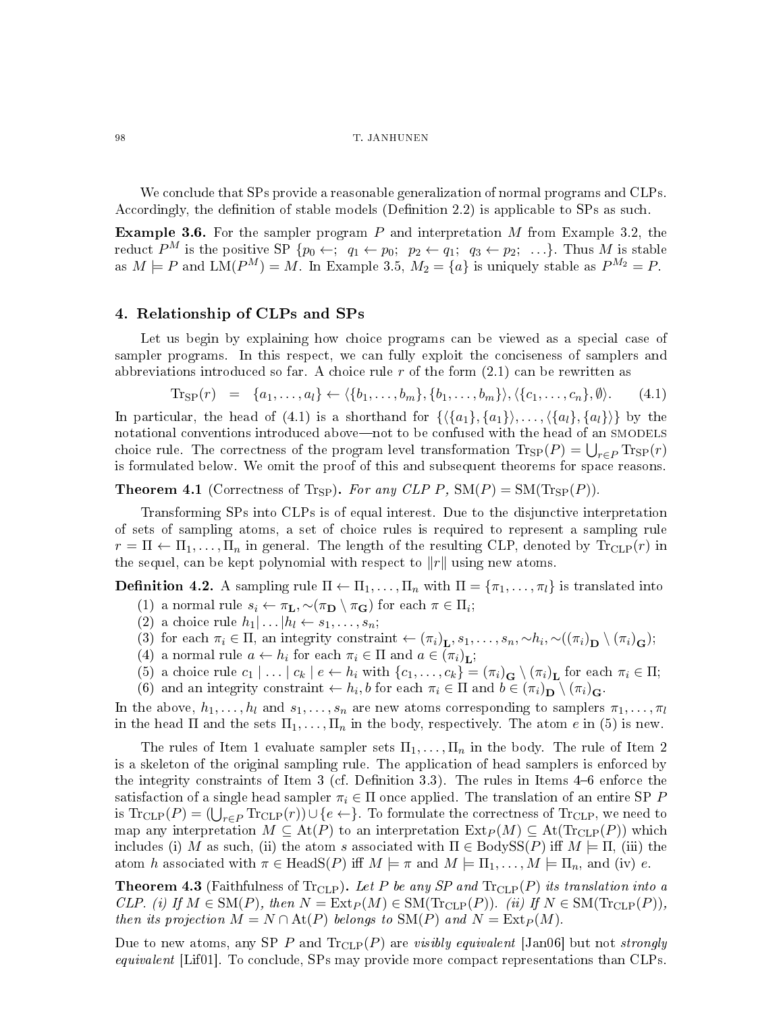#### 98 T. JANHUNEN

We conclude that SPs provide a reasonable generalization of normal programs and CLPs. Accordingly, the definition of stable models (Definition  $2.2$ ) is applicable to SPs as such.

**Example 3.6.** For the sampler program  $P$  and interpretation  $M$  from Example 3.2, the reduct  $P^M$  is the positive SP  $\{p_0 \leftarrow; q_1 \leftarrow p_0; p_2 \leftarrow q_1; q_3 \leftarrow p_2; \ldots\}$ . Thus M is stable as  $M \models P$  and  $\text{LM}(P^M) = M$ . In Example 3.5,  $M_2 = \{a\}$  is uniquely stable as  $P^{M_2} = P$ .

### 4. Relationship of CLPs and SPs

Let us begin by explaining how choice programs can be viewed as a special case of sampler programs. In this respect, we can fully exploit the conciseness of samplers and abbreviations introduced so far. A choice rule  $r$  of the form  $(2.1)$  can be rewritten as

$$
\text{Tr}_{\text{SP}}(r) = \{a_1, \dots, a_l\} \leftarrow \langle \{b_1, \dots, b_m\}, \{b_1, \dots, b_m\} \rangle, \langle \{c_1, \dots, c_n\}, \emptyset \rangle. \tag{4.1}
$$

In particular, the head of (4.1) is a shorthand for  $\{\langle \{a_1\}, \{a_1\} \rangle, \ldots, \langle \{a_l\}, \{a_l\} \rangle\}$  by the notational conventions introduced above—not to be confused with the head of an SMODELS choice rule. The correctness of the program level transformation  $\text{Tr}_{\text{SP}}(P) = \bigcup_{r \in P} \text{Tr}_{\text{SP}}(r)$ is formulated below. We omit the proof of this and subsequent theorems for space reasons.

**Theorem 4.1** (Correctness of Tr<sub>SP</sub>). For any CLP P,  $\text{SM}(P) = \text{SM}(\text{Tr}_{\text{SP}}(P)).$ 

Transforming SPs into CLPs is of equal interest. Due to the disjunctive interpretation of sets of sampling atoms, a set of choice rules is required to represent a sampling rule  $r = \Pi \leftarrow \Pi_1, \dots, \Pi_n$  in general. The length of the resulting CLP, denoted by  $\text{Tr}_{CLP}(r)$  in the sequel, can be kept polynomial with respect to  $||r||$  using new atoms.

**Definition 4.2.** A sampling rule  $\Pi \leftarrow \Pi_1, \ldots, \Pi_n$  with  $\Pi = {\pi_1, \ldots, \pi_l}$  is translated into

- (1) a normal rule  $s_i \leftarrow \pi_L, \sim (\pi_D \setminus \pi_G)$  for each  $\pi \in \Pi_i$ ;
- (2) a choice rule  $h_1 | \dots | h_l \leftarrow s_1, \dots, s_n;$
- (3) for each  $\pi_i \in \Pi$ , an integrity constraint  $\leftarrow (\pi_i)_{\mathbf{L}}, s_1, \ldots, s_n, \sim h_i, \sim ((\pi_i)_{\mathbf{D}} \setminus (\pi_i)_{\mathbf{G}});$
- (4) a normal rule  $a \leftarrow h_i$  for each  $\pi_i \in \Pi$  and  $a \in (\pi_i)_{\mathbf{L}}$ ;
- (5) a choice rule  $c_1 | \ldots | c_k | e \leftarrow h_i \text{ with } \{c_1, \ldots, c_k\} = (\pi_i)_{\mathbf{G}} \setminus (\pi_i)_{\mathbf{L}} \text{ for each } \pi_i \in \Pi;$
- (6) and an integrity constraint  $\leftarrow h_i$ , b for each  $\pi_i \in \Pi$  and  $b \in (\pi_i)_{\mathbf{D}} \setminus (\pi_i)_{\mathbf{G}}$ .

In the above,  $h_1, \ldots, h_l$  and  $s_1, \ldots, s_n$  are new atoms corresponding to samplers  $\pi_1, \ldots, \pi_l$ in the head  $\Pi$  and the sets  $\Pi_1, \ldots, \Pi_n$  in the body, respectively. The atom e in (5) is new.

The rules of Item 1 evaluate sampler sets  $\Pi_1, \ldots, \Pi_n$  in the body. The rule of Item 2 is a skeleton of the original sampling rule. The application of head samplers is enforced by the integrity constraints of Item  $3$  (cf. Definition  $3.3$ ). The rules in Items  $4-6$  enforce the satisfaction of a single head sampler  $\pi_i \in \Pi$  once applied. The translation of an entire SP P is  $\text{Tr}_{\text{CLP}}(P) = (\bigcup_{r \in P} \text{Tr}_{\text{CLP}}(r)) \cup \{e \leftarrow\}$ . To formulate the correctness of  $\text{Tr}_{\text{CLP}}$ , we need to map any interpretation  $M \subseteq \text{At}(P)$  to an interpretation  $\text{Ext}_P(M) \subseteq \text{At}(\text{Tr}_{CLP}(P))$  which includes (i) M as such, (ii) the atom s associated with  $\Pi \in \text{BodySS}(P)$  iff  $M \models \Pi$ , (iii) the atom h associated with  $\pi \in \text{HeadS}(P)$  iff  $M \models \pi$  and  $M \models \Pi_1, \ldots, M \models \Pi_n$ , and (iv) e.

**Theorem 4.3** (Faithfulness of Tr<sub>CLP</sub>). Let P be any SP and  $\text{Tr}_{CLP}(P)$  its translation into a CLP. (i) If  $M \in SM(P)$ , then  $N = \text{Ext}_P(M) \in SM(\text{Tr}_{CLP}(P))$ . (ii) If  $N \in SM(\text{Tr}_{CLP}(P))$ , then its projection  $M = N \cap \text{At}(P)$  belongs to  $\text{SM}(P)$  and  $N = \text{Ext}_P(M)$ .

Due to new atoms, any SP P and  $\text{Tr}_{CLP}(P)$  are *visibly equivalent* [Jan06] but not *strongly* equivalent [Lif01]. To conclude, SPs may provide more compact representations than CLPs.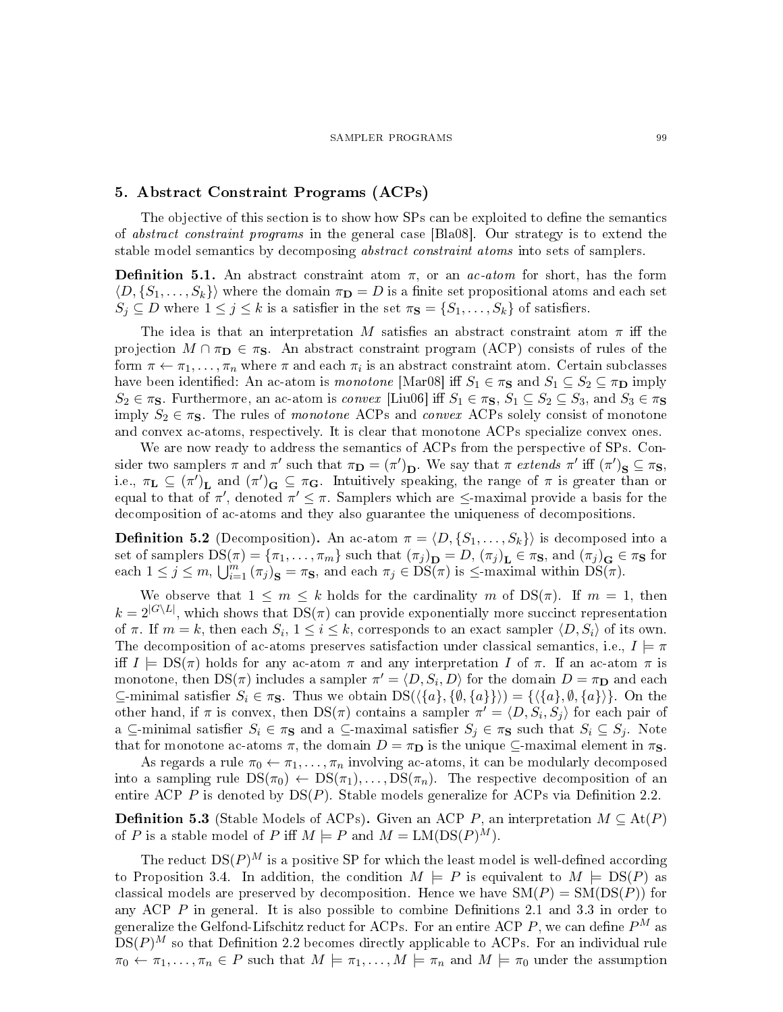# 5. Abstract Constraint Programs (ACPs)

The objective of this section is to show how SPs can be exploited to define the semantics of abstract constraint programs in the general case [Bla08]. Our strategy is to extend the stable model semantics by decomposing *abstract constraint atoms* into sets of samplers.

**Definition 5.1.** An abstract constraint atom  $\pi$ , or an *ac-atom* for short, has the form  $\langle D, \{S_1, \ldots, S_k\}\rangle$  where the domain  $\pi_{\mathbf{D}} = D$  is a finite set propositional atoms and each set  $S_j \subseteq D$  where  $1 \leq j \leq k$  is a satisfier in the set  $\pi_{\mathbf{S}} = \{S_1, \ldots, S_k\}$  of satisfiers.

The idea is that an interpretation M satisfies an abstract constraint atom  $\pi$  iff the projection  $M \cap \pi_{\mathbf{D}} \in \pi_{\mathbf{S}}$ . An abstract constraint program (ACP) consists of rules of the form  $\pi \leftarrow \pi_1, \ldots, \pi_n$  where  $\pi$  and each  $\pi_i$  is an abstract constraint atom. Certain subclasses have been identified: An ac-atom is monotone [Mar08] iff  $S_1 \in \pi_S$  and  $S_1 \subseteq S_2 \subseteq \pi_D$  imply  $S_2 \in \pi_S$ . Furthermore, an ac-atom is *convex* [Liu06] iff  $S_1 \in \pi_S$ ,  $S_1 \subseteq S_2 \subseteq S_3$ , and  $S_3 \in \pi_S$ imply  $S_2 \in \pi_S$ . The rules of monotone ACPs and convex ACPs solely consist of monotone and convex ac-atoms, respectively. It is clear that monotone ACPs specialize convex ones.

We are now ready to address the semantics of ACPs from the perspective of SPs. Consider two samplers  $\pi$  and  $\pi'$  such that  $\pi_{\mathbf{D}} = (\pi')_{\mathbf{D}}$ . We say that  $\pi$  extends  $\pi'$  iff  $(\pi')_{\mathbf{S}} \subseteq \pi_{\mathbf{S}}$ , i.e.,  $\pi_{\mathbf{L}} \subseteq (\pi')_{\mathbf{L}}$  and  $(\pi')_{\mathbf{G}} \subseteq \pi_{\mathbf{G}}$ . Intuitively speaking, the range of  $\pi$  is greater than or equal to that of  $\pi'$ , denoted  $\pi' \leq \pi$ . Samplers which are  $\leq$ -maximal provide a basis for the decomposition of ac-atoms and they also guarantee the uniqueness of decompositions.

**Definition 5.2** (Decomposition). An ac-atom  $\pi = \langle D, \{S_1, \ldots, S_k\}\rangle$  is decomposed into a set of samplers  $DS(\pi) = {\pi_1, \ldots, \pi_m}$  such that  ${(\pi_j)}_\mathbf{D} = D, (\pi_j)_\mathbf{L} \in \pi_{\mathbf{S}}, \text{ and } {(\pi_j)}_\mathbf{G} \in \pi_{\mathbf{S}}$  for each  $1 \leq j \leq m$ ,  $\bigcup_{i=1}^{m} (\pi_j)_{\mathbf{S}} = \pi_{\mathbf{S}}$ , and each  $\pi_j \in \widetilde{DS}(\pi)$  is  $\leq$ -maximal within  $\widetilde{DS}(\pi)$ .

We observe that  $1 \leq m \leq k$  holds for the cardinality m of  $DS(\pi)$ . If  $m = 1$ , then  $k = 2^{|G \setminus L|}$ , which shows that  $DS(\pi)$  can provide exponentially more succinct representation of  $\pi$ . If  $m = k$ , then each  $S_i$ ,  $1 \leq i \leq k$ , corresponds to an exact sampler  $\langle D, S_i \rangle$  of its own. The decomposition of ac-atoms preserves satisfaction under classical semantics, i.e.,  $I \models \pi$ iff  $I \models DS(\pi)$  holds for any ac-atom  $\pi$  and any interpretation I of  $\pi$ . If an ac-atom  $\pi$  is monotone, then  $DS(\pi)$  includes a sampler  $\pi' = \langle D, S_i, D \rangle$  for the domain  $D = \pi_{\mathbf{D}}$  and each  $\subseteq$ -minimal satisfier  $S_i \in \pi_S$ . Thus we obtain  $DS(\langle \{a\}, \{\emptyset, \{a\}\}\rangle) = {\langle \{a\}, \emptyset, \{a\}\rangle}.$  On the other hand, if  $\pi$  is convex, then  $DS(\pi)$  contains a sampler  $\pi' = \langle D, S_i, S_j \rangle$  for each pair of a ⊆-minimal satisfier  $S_i \in \pi_S$  and a ⊆-maximal satisfier  $S_j \in \pi_S$  such that  $S_i \subseteq S_j$ . Note that for monotone ac-atoms  $\pi$ , the domain  $D = \pi_D$  is the unique  $\subseteq$ -maximal element in  $\pi_S$ .

As regards a rule  $\pi_0 \leftarrow \pi_1, \ldots, \pi_n$  involving ac-atoms, it can be modularly decomposed into a sampling rule  $DS(\pi_0) \leftarrow DS(\pi_1), \ldots, DS(\pi_n)$ . The respective decomposition of an entire ACP P is denoted by  $DS(P)$ . Stable models generalize for ACPs via Definition 2.2.

**Definition 5.3** (Stable Models of ACPs). Given an ACP P, an interpretation  $M \subseteq \text{At}(P)$ of P is a stable model of P iff  $M \models P$  and  $M = LM(DS(P)^M)$ .

The reduct  $DS(P)^M$  is a positive SP for which the least model is well-defined according to Proposition 3.4. In addition, the condition  $M \models P$  is equivalent to  $M \models \text{DS}(P)$  as classical models are preserved by decomposition. Hence we have  $SM(P) = SM(DS(P))$  for any ACP  $\overline{P}$  in general. It is also possible to combine Definitions 2.1 and 3.3 in order to generalize the Gelfond-Lifschitz reduct for ACPs. For an entire ACP P, we can define  $P^M$  as  $DS(P)^M$  so that Definition 2.2 becomes directly applicable to ACPs. For an individual rule  $\pi_0 \leftarrow \pi_1, \ldots, \pi_n \in P$  such that  $M \models \pi_1, \ldots, M \models \pi_n$  and  $M \models \pi_0$  under the assumption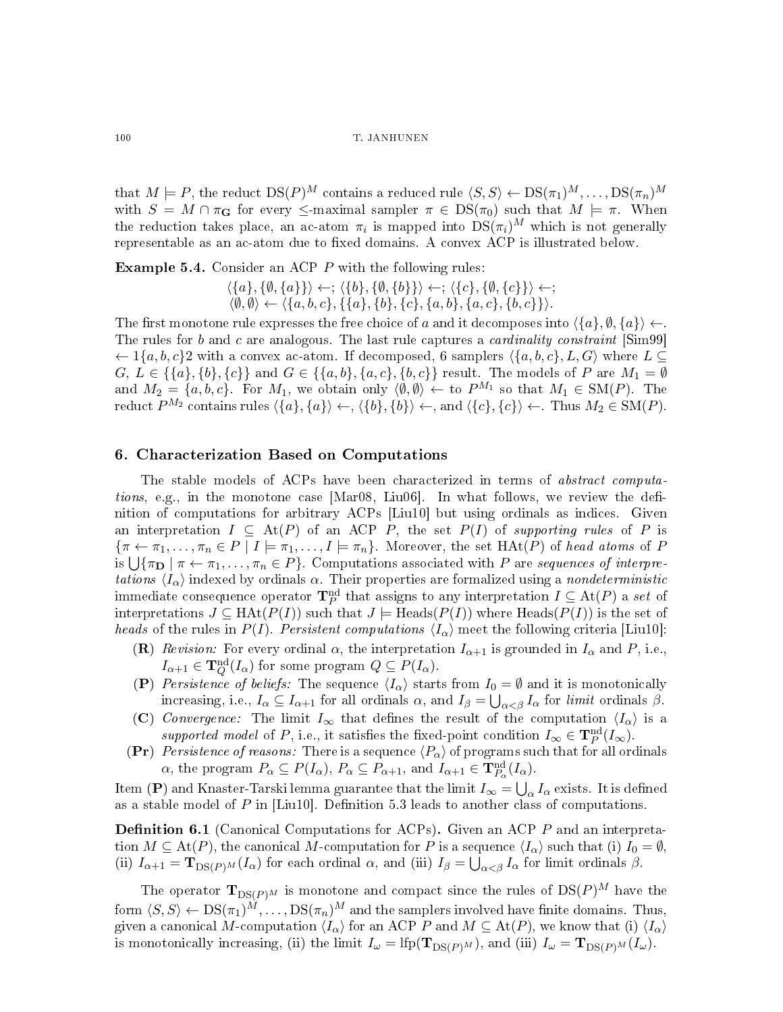### 100 T. JANHUNEN

that  $M \models P$ , the reduct  $DS(P)^M$  contains a reduced rule  $\langle S, S \rangle \leftarrow DS(\pi_1)^M, \ldots, DS(\pi_n)^M$ with  $S = M \cap \pi_{\mathbf{G}}$  for every  $\leq$ -maximal sampler  $\pi \in DS(\pi_0)$  such that  $M \models \pi$ . When the reduction takes place, an ac-atom  $\pi_i$  is mapped into  $DS(\pi_i)^M$  which is not generally representable as an ac-atom due to fixed domains. A convex ACP is illustrated below.

Example 5.4. Consider an ACP P with the following rules:

 $\langle \{a\}, \{\emptyset, \{a\}\}\rangle \leftarrow; \langle \{b\}, \{\emptyset, \{b\}\}\rangle \leftarrow; \langle \{c\}, \{\emptyset, \{c\}\}\rangle \leftarrow;$  $\langle \emptyset, \emptyset \rangle \leftarrow \langle \{a, b, c\}, \{\{a\}, \{b\}, \{c\}, \{a, b\}, \{a, c\}, \{b, c\}\}\rangle.$ 

The first monotone rule expresses the free choice of a and it decomposes into  $\langle \{a\}, \emptyset, \{a\}\rangle \leftarrow$ . The rules for b and c are analogous. The last rule captures a *cardinality constraint* [Sim99]  $\leftarrow$  1{a, b, c}2 with a convex ac-atom. If decomposed, 6 samplers  $\langle \{a, b, c\}, L, G \rangle$  where  $L \subseteq$  $G, L \in \{\{a\}, \{b\}, \{c\}\}\$ and  $G \in \{\{a, b\}, \{a, c\}, \{b, c\}\}\$ result. The models of  $P$  are  $M_1 = \emptyset$ and  $M_2 = \{a, b, c\}$ . For  $M_1$ , we obtain only  $\langle \emptyset, \emptyset \rangle \leftarrow$  to  $P^{M_1}$  so that  $M_1 \in SM(P)$ . The reduct  $P^{M_2}$  contains rules  $\langle \{a\}, \{a\} \rangle \leftarrow$ ,  $\langle \{b\}, \{b\} \rangle \leftarrow$ , and  $\langle \{c\}, \{c\} \rangle \leftarrow$ . Thus  $M_2 \in SM(P)$ .

# 6. Characterization Based on Computations

The stable models of ACPs have been characterized in terms of *abstract computations*, e.g., in the monotone case [Mar08, Liu06]. In what follows, we review the definition of computations for arbitrary ACPs [Liu10] but using ordinals as indices. Given an interpretation  $I \subseteq \text{At}(P)$  of an ACP P, the set  $P(I)$  of supporting rules of P is  ${\lbrace \pi \leftarrow \pi_1, ..., \pi_n \in P \mid I \models \pi_1, ..., I \models \pi_n \rbrace}$ . Moreover, the set  $HAt(P)$  of head atoms of P is  $\bigcup \{\pi_{\bf D} \mid \pi \leftarrow \pi_1, \ldots, \pi_n \in P\}$ . Computations associated with P are sequences of interpretations  $\langle I_{\alpha} \rangle$  indexed by ordinals  $\alpha$ . Their properties are formalized using a nondeterministic immediate consequence operator  $\mathbf{T}_P^{\mathrm{nd}}$  that assigns to any interpretation  $I \subseteq \mathrm{At}(P)$  a set of interpretations  $J \subseteq \text{HA}(P(I))$  such that  $J \models \text{Heads}(P(I))$  where  $\text{Heads}(P(I))$  is the set of heads of the rules in  $P(I)$ . Persistent computations  $\langle I_{\alpha} \rangle$  meet the following criteria [Liu10]:

- (R) Revision: For every ordinal  $\alpha$ , the interpretation  $I_{\alpha+1}$  is grounded in  $I_{\alpha}$  and P, i.e.,  $I_{\alpha+1} \in {\bf T}_Q^{\rm nd}(I_\alpha)$  for some program  $Q \subseteq P(I_\alpha)$ .
- (P) Persistence of beliefs: The sequence  $\langle I_{\alpha} \rangle$  starts from  $I_0 = \emptyset$  and it is monotonically increasing, i.e.,  $I_\alpha \subseteq I_{\alpha+1}$  for all ordinals  $\alpha$ , and  $I_\beta = \bigcup_{\alpha < \beta} I_\alpha$  for *limit* ordinals  $\beta$ .
- (C) Convergence: The limit  $I_{\infty}$  that defines the result of the computation  $\langle I_{\alpha} \rangle$  is a supported model of P, i.e., it satisfies the fixed-point condition  $I_{\infty} \in \mathbf{T}_{P}^{\text{nd}}(I_{\infty})$ .
- (Pr) Persistence of reasons: There is a sequence  $\langle P_{\alpha} \rangle$  of programs such that for all ordinals  $\alpha$ , the program  $P_{\alpha} \subseteq P(I_{\alpha})$ ,  $P_{\alpha} \subseteq P_{\alpha+1}$ , and  $I_{\alpha+1} \in \mathbf{T}_{P_{\alpha}}^{\mathrm{nd}}(I_{\alpha})$ .

Item (**P**) and Knaster-Tarski lemma guarantee that the limit  $I_\infty=\bigcup_\alpha I_\alpha$  exists. It is defined as a stable model of P in  $[Liu10]$ . Definition 5.3 leads to another class of computations.

**Definition 6.1** (Canonical Computations for ACPs). Given an ACP P and an interpretation  $M \subseteq \text{At}(P)$ , the canonical M-computation for P is a sequence  $\langle I_{\alpha} \rangle$  such that (i)  $I_0 = \emptyset$ , (ii)  $I_{\alpha+1} = \mathbf{T}_{DS(P)^M}(I_\alpha)$  for each ordinal  $\alpha$ , and (iii)  $I_\beta = \bigcup_{\alpha < \beta} I_\alpha$  for limit ordinals  $\beta$ .

The operator  $\mathbf{T}_{DS(P)^M}$  is monotone and compact since the rules of  $DS(P)^M$  have the form  $\langle S, S \rangle \leftarrow \text{DS}(\pi_1)^M, \dots, \text{DS}(\pi_n)^M$  and the samplers involved have finite domains. Thus, given a canonical M-computation  $\langle I_{\alpha} \rangle$  for an ACP P and  $M \subseteq \text{At}(P)$ , we know that (i)  $\langle I_{\alpha} \rangle$ is monotonically increasing, (ii) the limit  $I_{\omega} = \text{Ifp}(\mathbf{T}_{DS(P)^M})$ , and (iii)  $I_{\omega} = \mathbf{T}_{DS(P)^M}(I_{\omega})$ .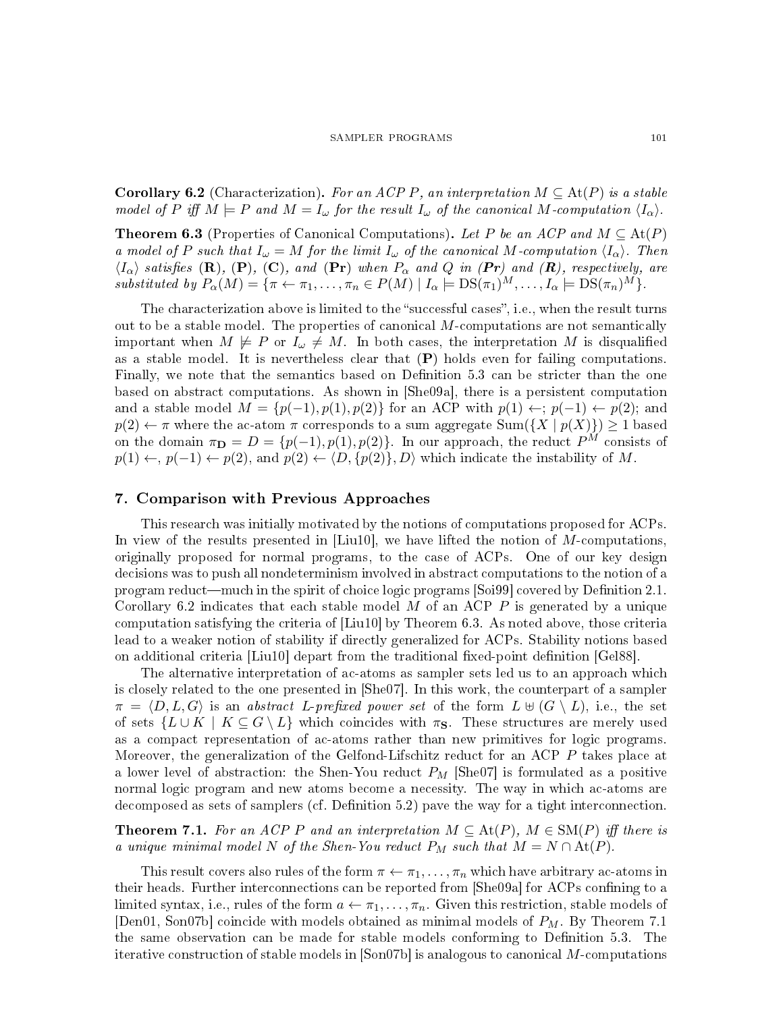**Corollary 6.2** (Characterization). For an ACP P, an interpretation  $M \subseteq \text{At}(P)$  is a stable model of P iff  $M \models P$  and  $M = I_{\omega}$  for the result  $I_{\omega}$  of the canonical M-computation  $\langle I_{\alpha} \rangle$ .

**Theorem 6.3** (Properties of Canonical Computations). Let P be an ACP and  $M \subseteq \text{At}(P)$ a model of P such that  $I_\omega = M$  for the limit  $I_\omega$  of the canonical M-computation  $\langle I_\alpha \rangle$ . Then  $\langle I_{\alpha}\rangle$  satisfies (R), (P), (C), and (Pr) when  $P_{\alpha}$  and Q in (Pr) and (R), respectively, are substituted by  $P_{\alpha}(M) = {\pi \leftarrow \pi_1, ..., \pi_n \in P(M) \mid I_{\alpha} \models \text{DS}(\pi_1)^M, ..., I_{\alpha} \models \text{DS}(\pi_n)^M}.$ 

The characterization above is limited to the "successful cases", i.e., when the result turns out to be a stable model. The properties of canonical  $M$ -computations are not semantically important when  $M \not\models P$  or  $I_{\omega} \not\models M$ . In both cases, the interpretation M is disqualified as a stable model. It is nevertheless clear that  $(P)$  holds even for failing computations. Finally, we note that the semantics based on Definition 5.3 can be stricter than the one based on abstract computations. As shown in [She09a], there is a persistent computation and a stable model  $M = \{p(-1), p(1), p(2)\}\$ for an ACP with  $p(1) \leftarrow; p(-1) \leftarrow p(2)$ ; and  $p(2) \leftarrow \pi$  where the ac-atom  $\pi$  corresponds to a sum aggregate  $\text{Sum}(\{X \mid p(X)\}) \ge 1$  based on the domain  $\pi_{\mathbf{D}} = D = \{p(-1), p(1), p(2)\}\$ . In our approach, the reduct  $P^{M}$  consists of  $p(1) \leftarrow, p(-1) \leftarrow p(2)$ , and  $p(2) \leftarrow \langle D, \{p(2)\}, D \rangle$  which indicate the instability of M.

# 7. Comparison with Previous Approaches

This research was initially motivated by the notions of computations proposed for ACPs. In view of the results presented in  $[Liu10]$ , we have lifted the notion of M-computations, originally proposed for normal programs, to the case of ACPs. One of our key design decisions was to push all nondeterminism involved in abstract computations to the notion of a program reduct—much in the spirit of choice logic programs [Soi99] covered by Definition 2.1. Corollary 6.2 indicates that each stable model  $M$  of an ACP  $P$  is generated by a unique computation satisfying the criteria of [Liu10] by Theorem 6.3. As noted above, those criteria lead to a weaker notion of stability if directly generalized for ACPs. Stability notions based on additional criteria  $|Liu10|$  depart from the traditional fixed-point definition  $|Ge88|$ .

The alternative interpretation of ac-atoms as sampler sets led us to an approach which is closely related to the one presented in [She07]. In this work, the counterpart of a sampler  $\pi = \langle D, L, G \rangle$  is an abstract L-prefixed power set of the form  $L \uplus (G \setminus L)$ , i.e., the set of sets  $\{L \cup K \mid K \subseteq G \setminus L\}$  which coincides with  $\pi_{\mathbf{S}}$ . These structures are merely used as a compact representation of ac-atoms rather than new primitives for logic programs. Moreover, the generalization of the Gelfond-Lifschitz reduct for an ACP P takes place at a lower level of abstraction: the Shen-You reduct  $P_M$  [She07] is formulated as a positive normal logic program and new atoms become a necessity. The way in which ac-atoms are decomposed as sets of samplers (cf. Definition 5.2) pave the way for a tight interconnection.

**Theorem 7.1.** For an ACP P and an interpretation  $M \subseteq \text{At}(P)$ ,  $M \in SM(P)$  iff there is a unique minimal model N of the Shen-You reduct  $P_M$  such that  $M = N \cap \text{At}(P)$ .

This result covers also rules of the form  $\pi \leftarrow \pi_1, \ldots, \pi_n$  which have arbitrary ac-atoms in their heads. Further interconnections can be reported from [She09a] for ACPs confining to a limited syntax, i.e., rules of the form  $a \leftarrow \pi_1, \ldots, \pi_n$ . Given this restriction, stable models of [Den01, Son07b] coincide with models obtained as minimal models of  $P_M$ . By Theorem 7.1 the same observation can be made for stable models conforming to Definition  $5.3$ . The iterative construction of stable models in [Son07b] is analogous to canonical M-computations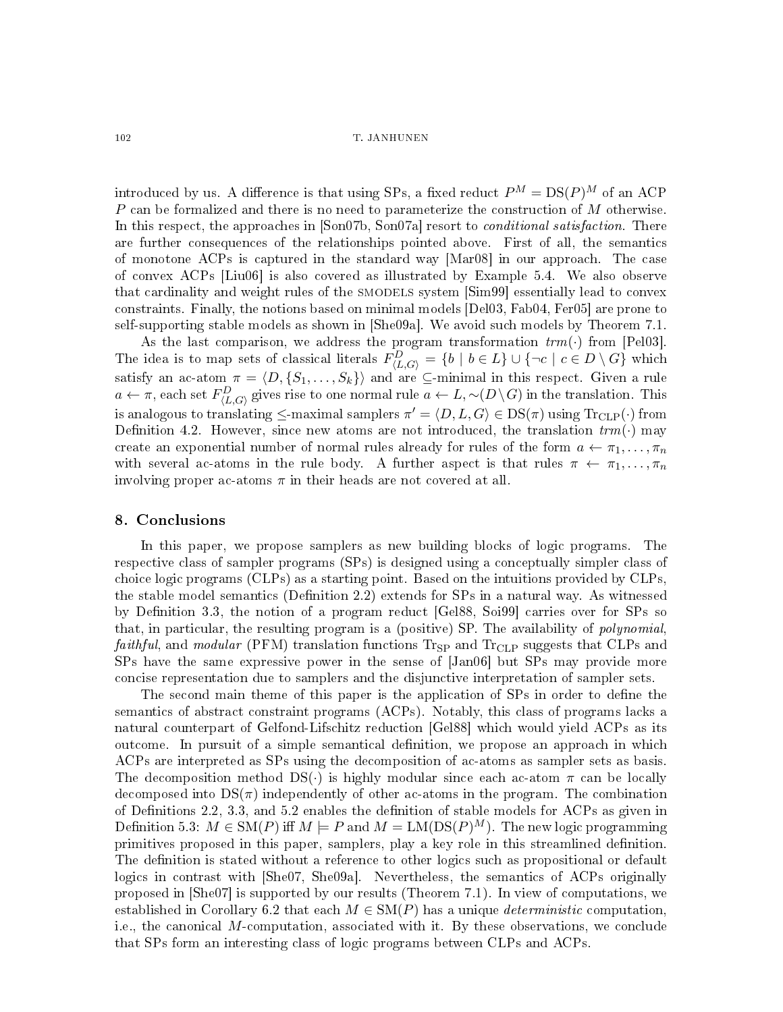### 102 T. JANHUNEN

introduced by us. A difference is that using SPs, a fixed reduct  $P^M = \text{DS}(P)^M$  of an ACP  $P$  can be formalized and there is no need to parameterize the construction of  $M$  otherwise. In this respect, the approaches in [Son07b, Son07a] resort to *conditional satisfaction*. There are further consequences of the relationships pointed above. First of all, the semantics of monotone ACPs is captured in the standard way [Mar08] in our approach. The case of convex ACPs [Liu06] is also covered as illustrated by Example 5.4. We also observe that cardinality and weight rules of the smodels system [Sim99] essentially lead to convex constraints. Finally, the notions based on minimal models [Del03, Fab04, Fer05] are prone to self-supporting stable models as shown in [She09a]. We avoid such models by Theorem 7.1.

As the last comparison, we address the program transformation  $trm(\cdot)$  from [Pel03]. The idea is to map sets of classical literals  $F_{\langle L,G \rangle}^D = \{b \mid b \in L\} \cup \{\neg c \mid c \in D \setminus G\}$  which satisfy an ac-atom  $\pi = \langle D, \{S_1, \ldots, S_k\}\rangle$  and are ⊆-minimal in this respect. Given a rule  $a \leftarrow \pi$ , each set  $F^D_{\langle L,G\rangle}$  gives rise to one normal rule  $a \leftarrow L, \sim (D\setminus G)$  in the translation. This is analogous to translating  $\le$ -maximal samplers  $\pi' = \langle D, L, G \rangle \in \mathrm{DS}(\pi)$  using  $\mathrm{Tr}_{\mathrm{CLP}}(\cdot)$  from Definition 4.2. However, since new atoms are not introduced, the translation  $trm(\cdot)$  may create an exponential number of normal rules already for rules of the form  $a \leftarrow \pi_1, \ldots, \pi_n$ with several ac-atoms in the rule body. A further aspect is that rules  $\pi \leftarrow \pi_1, \ldots, \pi_n$ involving proper ac-atoms  $\pi$  in their heads are not covered at all.

### 8. Conclusions

In this paper, we propose samplers as new building blocks of logic programs. The respective class of sampler programs (SPs) is designed using a conceptually simpler class of choice logic programs (CLPs) as a starting point. Based on the intuitions provided by CLPs, the stable model semantics (Definition 2.2) extends for SPs in a natural way. As witnessed by Definition 3.3, the notion of a program reduct [Gel88, Soi99] carries over for SPs so that, in particular, the resulting program is a (positive) SP. The availability of *polynomial*, *faithful*, and *modular* (PFM) translation functions  $T_{\text{FSP}}$  and  $T_{\text{rCLP}}$  suggests that CLPs and SPs have the same expressive power in the sense of [Jan06] but SPs may provide more concise representation due to samplers and the disjunctive interpretation of sampler sets.

The second main theme of this paper is the application of SPs in order to define the semantics of abstract constraint programs (ACPs). Notably, this class of programs lacks a natural counterpart of Gelfond-Lifschitz reduction [Gel88] which would yield ACPs as its outcome. In pursuit of a simple semantical denition, we propose an approach in which ACPs are interpreted as SPs using the decomposition of ac-atoms as sampler sets as basis. The decomposition method  $DS(\cdot)$  is highly modular since each ac-atom  $\pi$  can be locally decomposed into  $DS(\pi)$  independently of other ac-atoms in the program. The combination of Definitions 2.2, 3.3, and  $5.2$  enables the definition of stable models for ACPs as given in Definition 5.3:  $M \in SM(P)$  iff  $M \models P$  and  $M = LM(DS(P)^M)$ . The new logic programming primitives proposed in this paper, samplers, play a key role in this streamlined definition. The definition is stated without a reference to other logics such as propositional or default logics in contrast with [She07, She09a]. Nevertheless, the semantics of ACPs originally proposed in [She07] is supported by our results (Theorem 7.1). In view of computations, we established in Corollary 6.2 that each  $M \in SM(P)$  has a unique *deterministic* computation. i.e., the canonical M-computation, associated with it. By these observations, we conclude that SPs form an interesting class of logic programs between CLPs and ACPs.